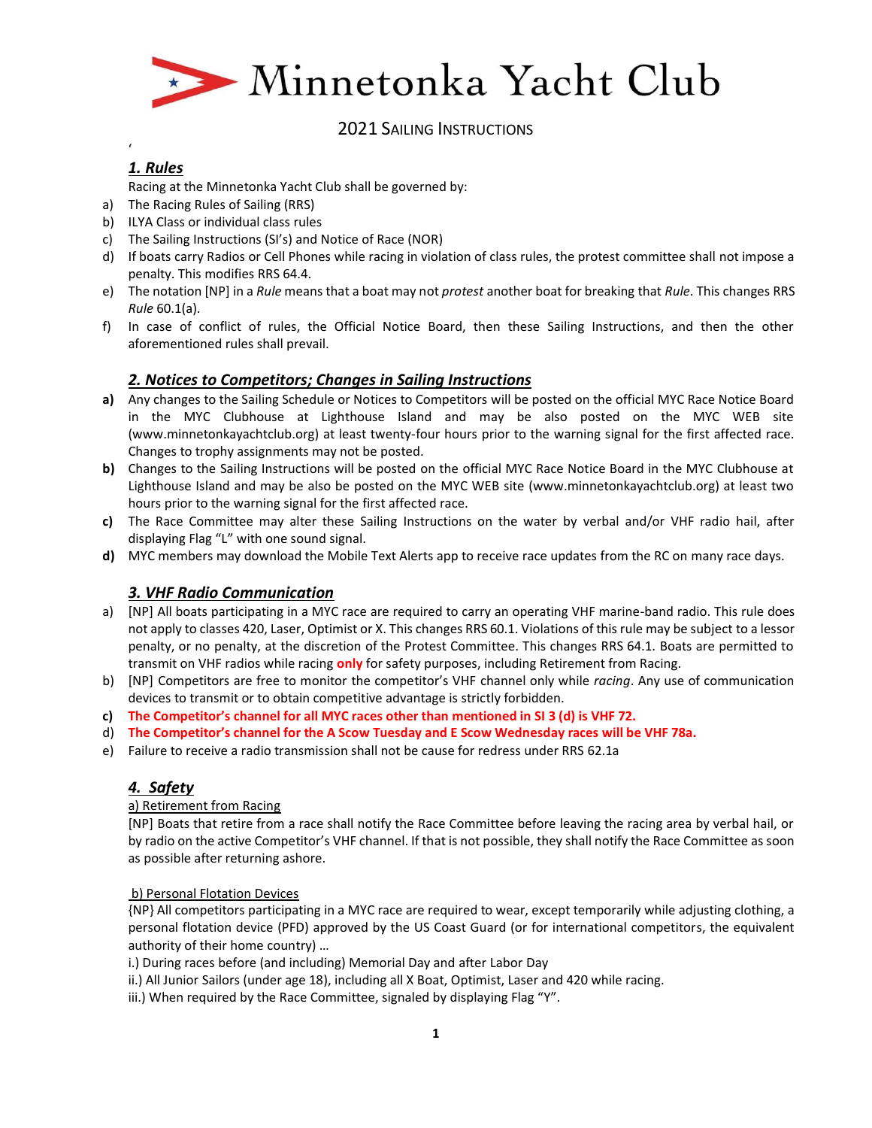

# *1. Rules*

'

Racing at the Minnetonka Yacht Club shall be governed by:

- a) The Racing Rules of Sailing (RRS)
- b) ILYA Class or individual class rules
- c) The Sailing Instructions (SI's) and Notice of Race (NOR)
- d) If boats carry Radios or Cell Phones while racing in violation of class rules, the protest committee shall not impose a penalty. This modifies RRS 64.4.
- e) The notation [NP] in a *Rule* means that a boat may not *protest* another boat for breaking that *Rule*. This changes RRS *Rule* 60.1(a).
- f) In case of conflict of rules, the Official Notice Board, then these Sailing Instructions, and then the other aforementioned rules shall prevail.

# *2. Notices to Competitors; Changes in Sailing Instructions*

- **a)** Any changes to the Sailing Schedule or Notices to Competitors will be posted on the official MYC Race Notice Board in the MYC Clubhouse at Lighthouse Island and may be also posted on the MYC WEB site (www.minnetonkayachtclub.org) at least twenty-four hours prior to the warning signal for the first affected race. Changes to trophy assignments may not be posted.
- **b)** Changes to the Sailing Instructions will be posted on the official MYC Race Notice Board in the MYC Clubhouse at Lighthouse Island and may be also be posted on the MYC WEB site (www.minnetonkayachtclub.org) at least two hours prior to the warning signal for the first affected race.
- **c)** The Race Committee may alter these Sailing Instructions on the water by verbal and/or VHF radio hail, after displaying Flag "L" with one sound signal.
- **d)** MYC members may download the Mobile Text Alerts app to receive race updates from the RC on many race days.

# *3. VHF Radio Communication*

- a) [NP] All boats participating in a MYC race are required to carry an operating VHF marine-band radio. This rule does not apply to classes 420, Laser, Optimist or X. This changes RRS 60.1. Violations of this rule may be subject to a lessor penalty, or no penalty, at the discretion of the Protest Committee. This changes RRS 64.1. Boats are permitted to transmit on VHF radios while racing **only** for safety purposes, including Retirement from Racing.
- b) [NP] Competitors are free to monitor the competitor's VHF channel only while *racing*. Any use of communication devices to transmit or to obtain competitive advantage is strictly forbidden.
- **c) The Competitor's channel for all MYC races other than mentioned in SI 3 (d) is VHF 72.**
- d) **The Competitor's channel for the A Scow Tuesday and E Scow Wednesday races will be VHF 78a.**
- e) Failure to receive a radio transmission shall not be cause for redress under RRS 62.1a

# *4. Safety*

## a) Retirement from Racing

[NP] Boats that retire from a race shall notify the Race Committee before leaving the racing area by verbal hail, or by radio on the active Competitor's VHF channel. If that is not possible, they shall notify the Race Committee as soon as possible after returning ashore.

## b) Personal Flotation Devices

{NP} All competitors participating in a MYC race are required to wear, except temporarily while adjusting clothing, a personal flotation device (PFD) approved by the US Coast Guard (or for international competitors, the equivalent authority of their home country) …

- i.) During races before (and including) Memorial Day and after Labor Day
- ii.) All Junior Sailors (under age 18), including all X Boat, Optimist, Laser and 420 while racing.
- iii.) When required by the Race Committee, signaled by displaying Flag "Y".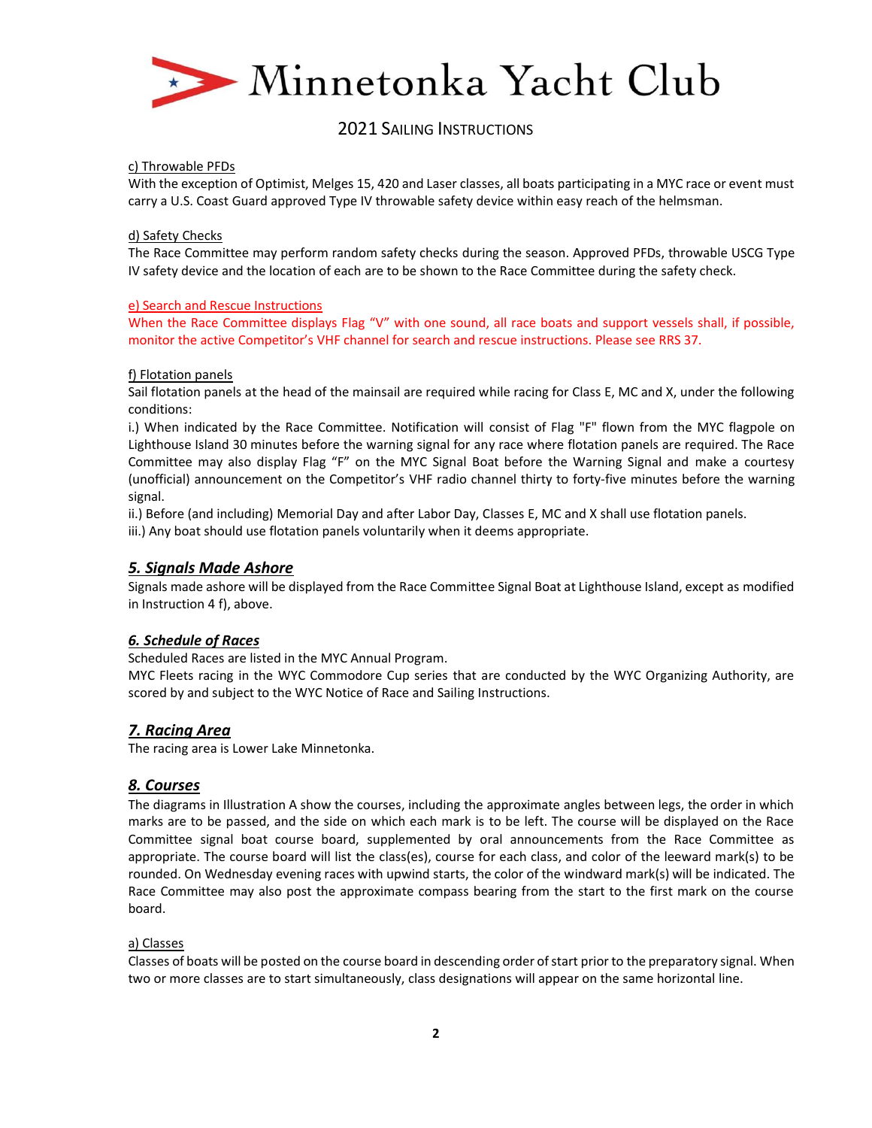

### c) Throwable PFDs

With the exception of Optimist, Melges 15, 420 and Laser classes, all boats participating in a MYC race or event must carry a U.S. Coast Guard approved Type IV throwable safety device within easy reach of the helmsman.

### d) Safety Checks

The Race Committee may perform random safety checks during the season. Approved PFDs, throwable USCG Type IV safety device and the location of each are to be shown to the Race Committee during the safety check.

### e) Search and Rescue Instructions

When the Race Committee displays Flag "V" with one sound, all race boats and support vessels shall, if possible, monitor the active Competitor's VHF channel for search and rescue instructions. Please see RRS 37.

#### f) Flotation panels

Sail flotation panels at the head of the mainsail are required while racing for Class E, MC and X, under the following conditions:

i.) When indicated by the Race Committee. Notification will consist of Flag "F" flown from the MYC flagpole on Lighthouse Island 30 minutes before the warning signal for any race where flotation panels are required. The Race Committee may also display Flag "F" on the MYC Signal Boat before the Warning Signal and make a courtesy (unofficial) announcement on the Competitor's VHF radio channel thirty to forty-five minutes before the warning signal.

ii.) Before (and including) Memorial Day and after Labor Day, Classes E, MC and X shall use flotation panels.

iii.) Any boat should use flotation panels voluntarily when it deems appropriate.

## *5. Signals Made Ashore*

Signals made ashore will be displayed from the Race Committee Signal Boat at Lighthouse Island, except as modified in Instruction 4 f), above.

## *6. Schedule of Races*

Scheduled Races are listed in the MYC Annual Program.

MYC Fleets racing in the WYC Commodore Cup series that are conducted by the WYC Organizing Authority, are scored by and subject to the WYC Notice of Race and Sailing Instructions.

## *7. Racing Area*

The racing area is Lower Lake Minnetonka.

## *8. Courses*

The diagrams in Illustration A show the courses, including the approximate angles between legs, the order in which marks are to be passed, and the side on which each mark is to be left. The course will be displayed on the Race Committee signal boat course board, supplemented by oral announcements from the Race Committee as appropriate. The course board will list the class(es), course for each class, and color of the leeward mark(s) to be rounded. On Wednesday evening races with upwind starts, the color of the windward mark(s) will be indicated. The Race Committee may also post the approximate compass bearing from the start to the first mark on the course board.

#### a) Classes

Classes of boats will be posted on the course board in descending order of start prior to the preparatory signal. When two or more classes are to start simultaneously, class designations will appear on the same horizontal line.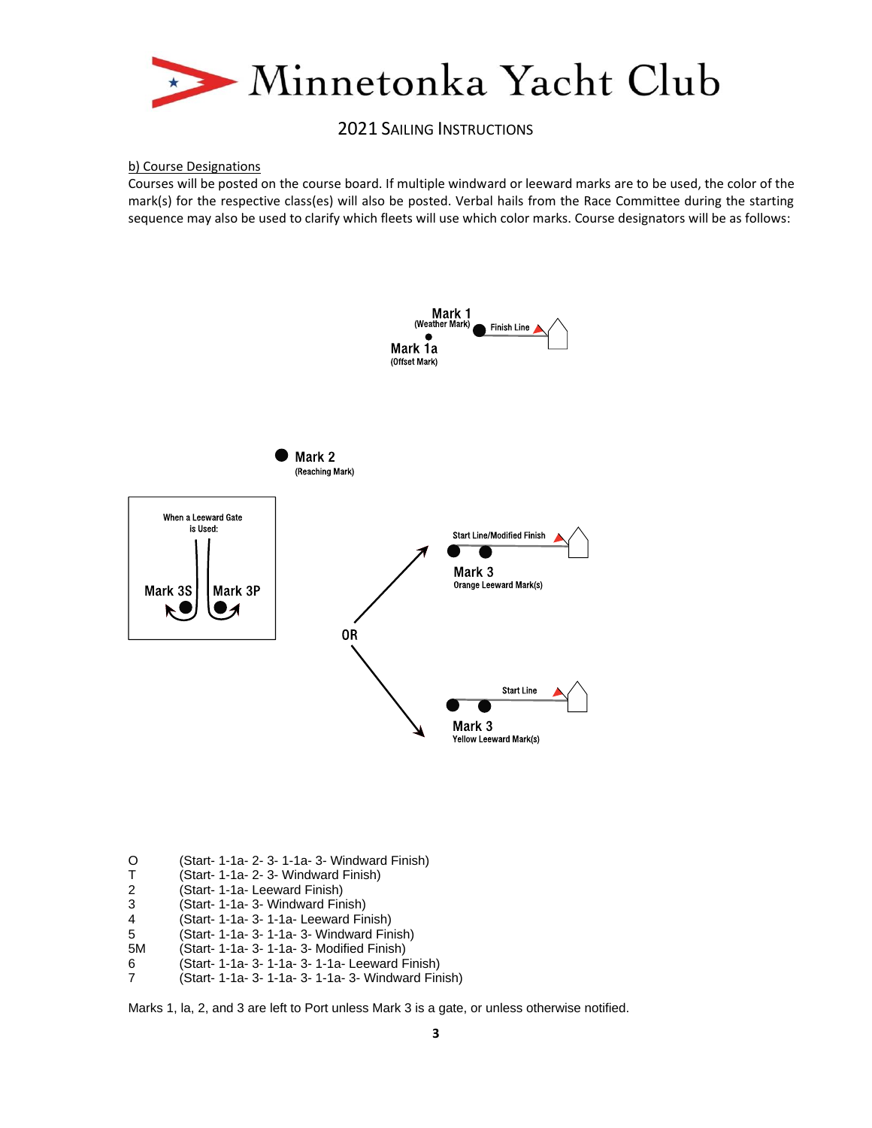

#### b) Course Designations

Courses will be posted on the course board. If multiple windward or leeward marks are to be used, the color of the mark(s) for the respective class(es) will also be posted. Verbal hails from the Race Committee during the starting sequence may also be used to clarify which fleets will use which color marks. Course designators will be as follows:



- O (Start- 1-1a- 2- 3- 1-1a- 3- Windward Finish)
- T (Start- 1-1a- 2- 3- Windward Finish)
- 
- 2 (Start- 1-1a- Leeward Finish) 3 (Start- 1-1a- 3- Windward Finish)
- (Start- 1-1a- 3- 1-1a- Leeward Finish)
- 5 (Start- 1-1a- 3- 1-1a- 3- Windward Finish)
- (Start- 1-1a- 3- 1-1a- 3- Modified Finish)
- 
- 6 (Start- 1-1a- 3- 1-1a- 3- 1-1a- Leeward Finish) (Start- 1-1a- 3- 1-1a- 3- 1-1a- 3- Windward Finish)

Marks 1, la, 2, and 3 are left to Port unless Mark 3 is a gate, or unless otherwise notified.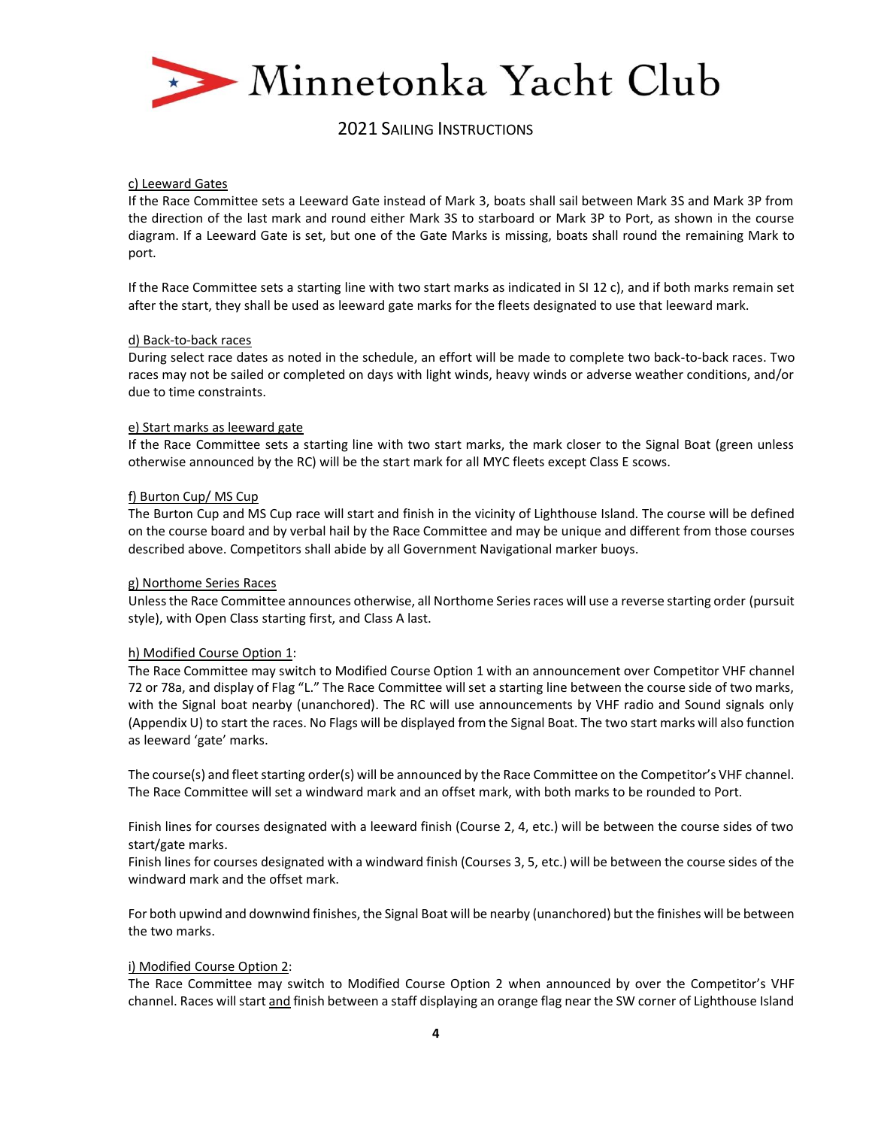

#### c) Leeward Gates

If the Race Committee sets a Leeward Gate instead of Mark 3, boats shall sail between Mark 3S and Mark 3P from the direction of the last mark and round either Mark 3S to starboard or Mark 3P to Port, as shown in the course diagram. If a Leeward Gate is set, but one of the Gate Marks is missing, boats shall round the remaining Mark to port.

If the Race Committee sets a starting line with two start marks as indicated in SI 12 c), and if both marks remain set after the start, they shall be used as leeward gate marks for the fleets designated to use that leeward mark.

#### d) Back-to-back races

During select race dates as noted in the schedule, an effort will be made to complete two back-to-back races. Two races may not be sailed or completed on days with light winds, heavy winds or adverse weather conditions, and/or due to time constraints.

#### e) Start marks as leeward gate

If the Race Committee sets a starting line with two start marks, the mark closer to the Signal Boat (green unless otherwise announced by the RC) will be the start mark for all MYC fleets except Class E scows.

### f) Burton Cup/ MS Cup

The Burton Cup and MS Cup race will start and finish in the vicinity of Lighthouse Island. The course will be defined on the course board and by verbal hail by the Race Committee and may be unique and different from those courses described above. Competitors shall abide by all Government Navigational marker buoys.

#### g) Northome Series Races

Unless the Race Committee announces otherwise, all Northome Series races will use a reverse starting order (pursuit style), with Open Class starting first, and Class A last.

#### h) Modified Course Option 1:

The Race Committee may switch to Modified Course Option 1 with an announcement over Competitor VHF channel 72 or 78a, and display of Flag "L." The Race Committee will set a starting line between the course side of two marks, with the Signal boat nearby (unanchored). The RC will use announcements by VHF radio and Sound signals only (Appendix U) to start the races. No Flags will be displayed from the Signal Boat. The two start marks will also function as leeward 'gate' marks.

The course(s) and fleet starting order(s) will be announced by the Race Committee on the Competitor's VHF channel. The Race Committee will set a windward mark and an offset mark, with both marks to be rounded to Port.

Finish lines for courses designated with a leeward finish (Course 2, 4, etc.) will be between the course sides of two start/gate marks.

Finish lines for courses designated with a windward finish (Courses 3, 5, etc.) will be between the course sides of the windward mark and the offset mark.

For both upwind and downwind finishes, the Signal Boat will be nearby (unanchored) but the finishes will be between the two marks.

#### i) Modified Course Option 2:

The Race Committee may switch to Modified Course Option 2 when announced by over the Competitor's VHF channel. Races will start and finish between a staff displaying an orange flag near the SW corner of Lighthouse Island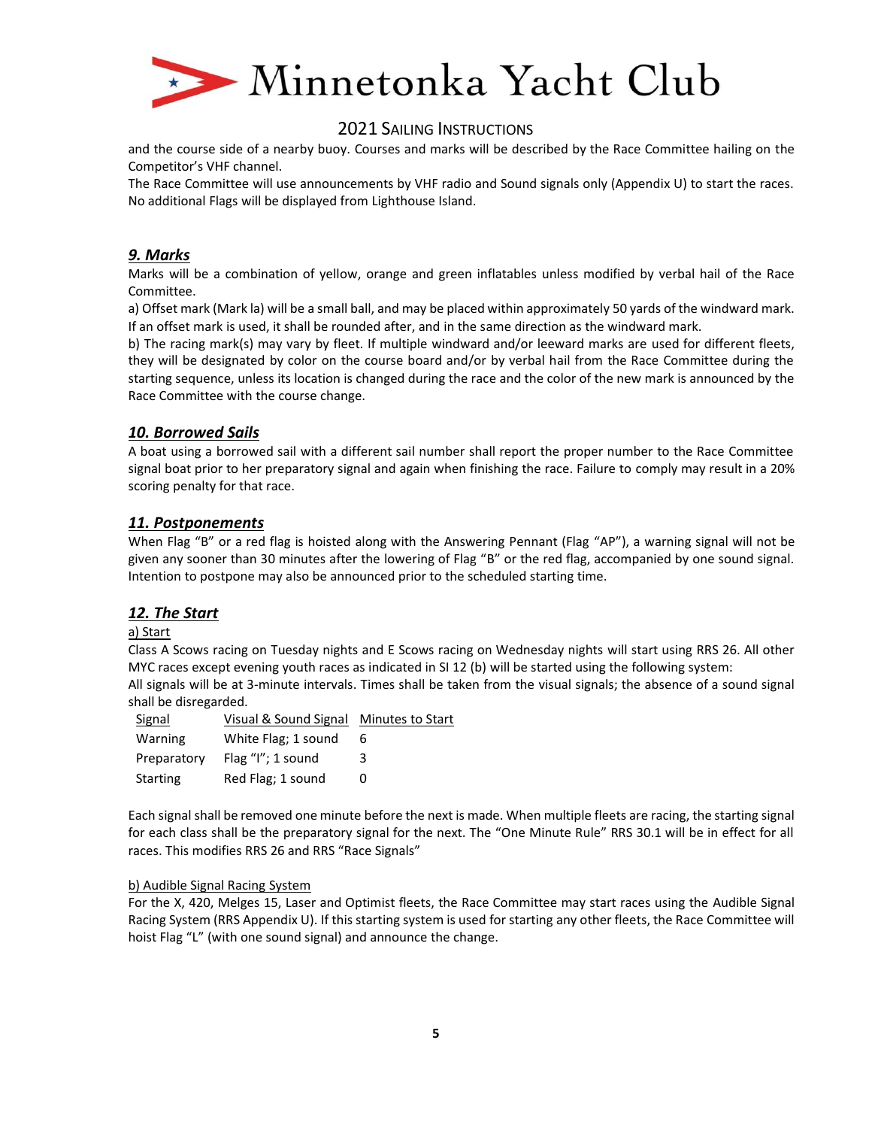

and the course side of a nearby buoy. Courses and marks will be described by the Race Committee hailing on the Competitor's VHF channel.

The Race Committee will use announcements by VHF radio and Sound signals only (Appendix U) to start the races. No additional Flags will be displayed from Lighthouse Island.

# *9. Marks*

Marks will be a combination of yellow, orange and green inflatables unless modified by verbal hail of the Race Committee.

a) Offset mark (Mark la) will be a small ball, and may be placed within approximately 50 yards of the windward mark. If an offset mark is used, it shall be rounded after, and in the same direction as the windward mark.

b) The racing mark(s) may vary by fleet. If multiple windward and/or leeward marks are used for different fleets, they will be designated by color on the course board and/or by verbal hail from the Race Committee during the starting sequence, unless its location is changed during the race and the color of the new mark is announced by the Race Committee with the course change.

## *10. Borrowed Sails*

A boat using a borrowed sail with a different sail number shall report the proper number to the Race Committee signal boat prior to her preparatory signal and again when finishing the race. Failure to comply may result in a 20% scoring penalty for that race.

# *11. Postponements*

When Flag "B" or a red flag is hoisted along with the Answering Pennant (Flag "AP"), a warning signal will not be given any sooner than 30 minutes after the lowering of Flag "B" or the red flag, accompanied by one sound signal. Intention to postpone may also be announced prior to the scheduled starting time.

## *12. The Start*

## a) Start

Class A Scows racing on Tuesday nights and E Scows racing on Wednesday nights will start using RRS 26. All other MYC races except evening youth races as indicated in SI 12 (b) will be started using the following system: All signals will be at 3-minute intervals. Times shall be taken from the visual signals; the absence of a sound signal shall be disregarded.

| Signal      | Visual & Sound Signal Minutes to Start |   |
|-------------|----------------------------------------|---|
| Warning     | White Flag; 1 sound                    | 6 |
| Preparatory | Flag $''$ l"; 1 sound                  | 3 |
| Starting    | Red Flag; 1 sound                      | 0 |

Each signal shall be removed one minute before the next is made. When multiple fleets are racing, the starting signal for each class shall be the preparatory signal for the next. The "One Minute Rule" RRS 30.1 will be in effect for all races. This modifies RRS 26 and RRS "Race Signals"

## b) Audible Signal Racing System

For the X, 420, Melges 15, Laser and Optimist fleets, the Race Committee may start races using the Audible Signal Racing System (RRS Appendix U). If this starting system is used for starting any other fleets, the Race Committee will hoist Flag "L" (with one sound signal) and announce the change.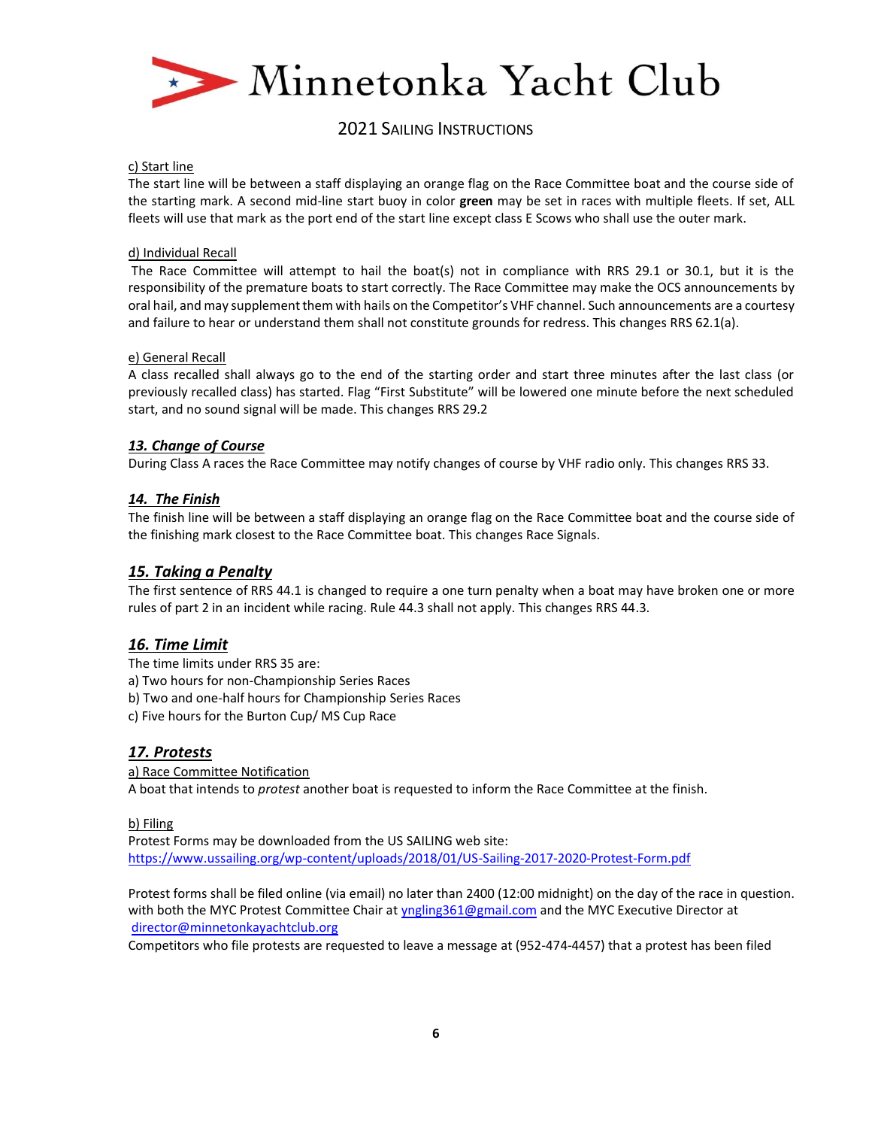

### c) Start line

The start line will be between a staff displaying an orange flag on the Race Committee boat and the course side of the starting mark. A second mid-line start buoy in color **green** may be set in races with multiple fleets. If set, ALL fleets will use that mark as the port end of the start line except class E Scows who shall use the outer mark.

### d) Individual Recall

The Race Committee will attempt to hail the boat(s) not in compliance with RRS 29.1 or 30.1, but it is the responsibility of the premature boats to start correctly. The Race Committee may make the OCS announcements by oral hail, and may supplement them with hails on the Competitor's VHF channel. Such announcements are a courtesy and failure to hear or understand them shall not constitute grounds for redress. This changes RRS 62.1(a).

### e) General Recall

A class recalled shall always go to the end of the starting order and start three minutes after the last class (or previously recalled class) has started. Flag "First Substitute" will be lowered one minute before the next scheduled start, and no sound signal will be made. This changes RRS 29.2

## *13. Change of Course*

During Class A races the Race Committee may notify changes of course by VHF radio only. This changes RRS 33.

## *14. The Finish*

The finish line will be between a staff displaying an orange flag on the Race Committee boat and the course side of the finishing mark closest to the Race Committee boat. This changes Race Signals.

# *15. Taking a Penalty*

The first sentence of RRS 44.1 is changed to require a one turn penalty when a boat may have broken one or more rules of part 2 in an incident while racing. Rule 44.3 shall not apply. This changes RRS 44.3.

# *16. Time Limit*

The time limits under RRS 35 are:

- a) Two hours for non-Championship Series Races
- b) Two and one-half hours for Championship Series Races
- c) Five hours for the Burton Cup/ MS Cup Race

# *17. Protests*

a) Race Committee Notification A boat that intends to *protest* another boat is requested to inform the Race Committee at the finish.

# b) Filing

Protest Forms may be downloaded from the US SAILING web site: <https://www.ussailing.org/wp-content/uploads/2018/01/US-Sailing-2017-2020-Protest-Form.pdf>

Protest forms shall be filed online (via email) no later than 2400 (12:00 midnight) on the day of the race in question. with both the MYC Protest Committee Chair at [yngling361@gmail.com](mailto:yngling361@gmail.com) and the MYC Executive Director at [director@minnetonkayachtclub.org](mailto:director@minnetonkayachtclub.org)

Competitors who file protests are requested to leave a message at (952-474-4457) that a protest has been filed